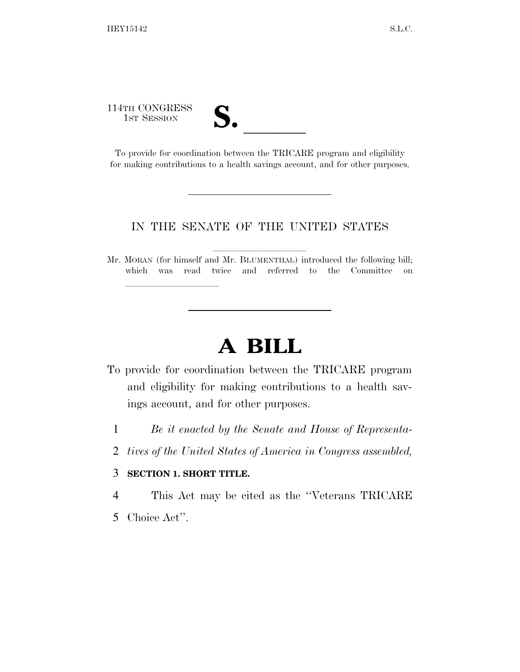114TH CONGRESS

lla se al constituir a la constituir a la constituir a la constituir a la constituir a la constituir a la cons<br>La constituir a la constituir a la constituir a la constituir a la constituir a la constituir a la constituir

14TH CONGRESS<br>
1ST SESSION<br>
To provide for coordination between the TRICARE program and eligibility for making contributions to a health savings account, and for other purposes.

## IN THE SENATE OF THE UNITED STATES

Mr. MORAN (for himself and Mr. BLUMENTHAL) introduced the following bill; which was read twice and referred to the Committee on

## **A BILL**

- To provide for coordination between the TRICARE program and eligibility for making contributions to a health savings account, and for other purposes.
	- 1 *Be it enacted by the Senate and House of Representa-*
	- 2 *tives of the United States of America in Congress assembled,*

## 3 **SECTION 1. SHORT TITLE.**

4 This Act may be cited as the ''Veterans TRICARE

5 Choice Act''.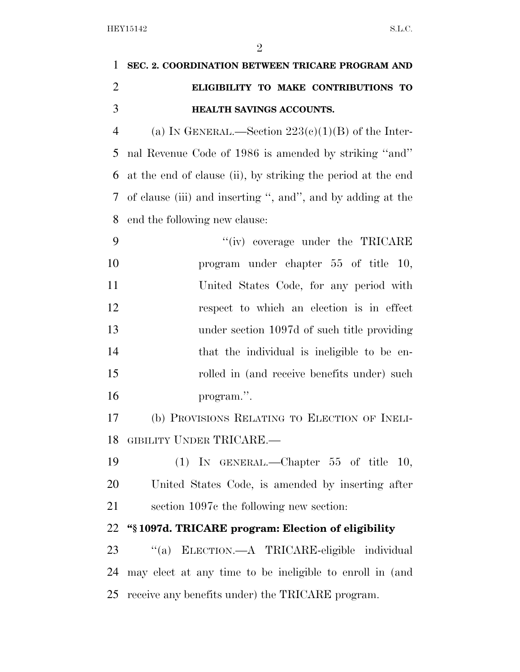| $\mathbf{1}$   | SEC. 2. COORDINATION BETWEEN TRICARE PROGRAM AND             |
|----------------|--------------------------------------------------------------|
| $\overline{2}$ | ELIGIBILITY TO MAKE CONTRIBUTIONS TO                         |
| 3              | HEALTH SAVINGS ACCOUNTS.                                     |
| $\overline{4}$ | (a) IN GENERAL.—Section $223(e)(1)(B)$ of the Inter-         |
| 5              | nal Revenue Code of 1986 is amended by striking "and"        |
| 6              | at the end of clause (ii), by striking the period at the end |
| 7              | of clause (iii) and inserting ", and", and by adding at the  |
| 8              | end the following new clause:                                |
| 9              | "(iv) coverage under the TRICARE                             |
| 10             | program under chapter 55 of title 10,                        |
| 11             | United States Code, for any period with                      |
| 12             | respect to which an election is in effect                    |
| 13             | under section 1097d of such title providing                  |
| 14             | that the individual is ineligible to be en-                  |
| 15             | rolled in (and receive benefits under) such                  |
| 16             | program.".                                                   |
| 17             | (b) PROVISIONS RELATING TO ELECTION OF INELI-                |
|                | 18 GIBILITY UNDER TRICARE.-                                  |
| 19             | (1) IN GENERAL.—Chapter $55$ of title 10,                    |
| 20             | United States Code, is amended by inserting after            |
| 21             | section 1097c the following new section:                     |
| 22             | "§1097d. TRICARE program: Election of eligibility            |
| 23             | "(a) ELECTION.—A TRICARE-eligible individual                 |
| 24             | may elect at any time to be ineligible to enroll in (and     |
| 25             | receive any benefits under) the TRICARE program.             |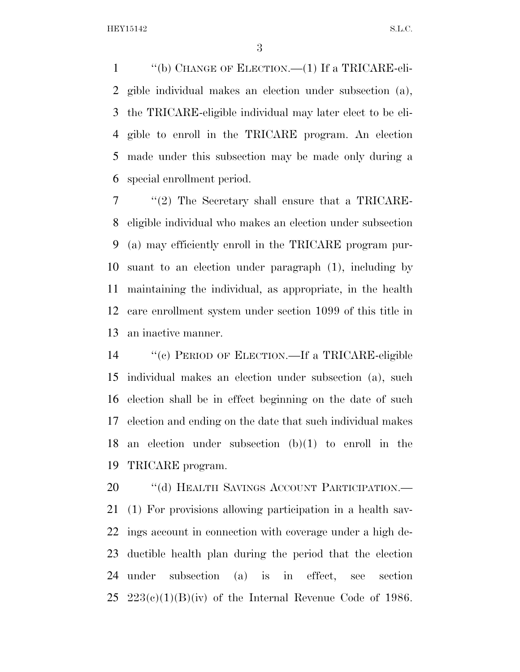''(b) CHANGE OF ELECTION.—(1) If a TRICARE-eli- gible individual makes an election under subsection (a), the TRICARE-eligible individual may later elect to be eli- gible to enroll in the TRICARE program. An election made under this subsection may be made only during a special enrollment period.

 ''(2) The Secretary shall ensure that a TRICARE- eligible individual who makes an election under subsection (a) may efficiently enroll in the TRICARE program pur- suant to an election under paragraph (1), including by maintaining the individual, as appropriate, in the health care enrollment system under section 1099 of this title in an inactive manner.

 ''(c) PERIOD OF ELECTION.—If a TRICARE-eligible individual makes an election under subsection (a), such election shall be in effect beginning on the date of such election and ending on the date that such individual makes an election under subsection (b)(1) to enroll in the TRICARE program.

20 "(d) HEALTH SAVINGS ACCOUNT PARTICIPATION.— (1) For provisions allowing participation in a health sav- ings account in connection with coverage under a high de- ductible health plan during the period that the election under subsection (a) is in effect, see section 25 223(c)(1)(B)(iv) of the Internal Revenue Code of 1986.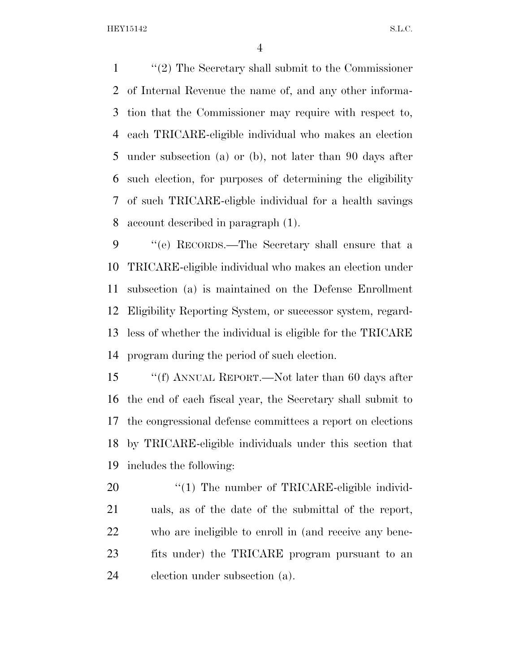HEY15142 S.L.C.

 ''(2) The Secretary shall submit to the Commissioner of Internal Revenue the name of, and any other informa- tion that the Commissioner may require with respect to, each TRICARE-eligible individual who makes an election under subsection (a) or (b), not later than 90 days after such election, for purposes of determining the eligibility of such TRICARE-eligble individual for a health savings account described in paragraph (1).

 ''(e) RECORDS.—The Secretary shall ensure that a TRICARE-eligible individual who makes an election under subsection (a) is maintained on the Defense Enrollment Eligibility Reporting System, or successor system, regard- less of whether the individual is eligible for the TRICARE program during the period of such election.

 ''(f) ANNUAL REPORT.—Not later than 60 days after the end of each fiscal year, the Secretary shall submit to the congressional defense committees a report on elections by TRICARE-eligible individuals under this section that includes the following:

 $\frac{1}{20}$  The number of TRICARE-eligible individ- uals, as of the date of the submittal of the report, who are ineligible to enroll in (and receive any bene- fits under) the TRICARE program pursuant to an election under subsection (a).